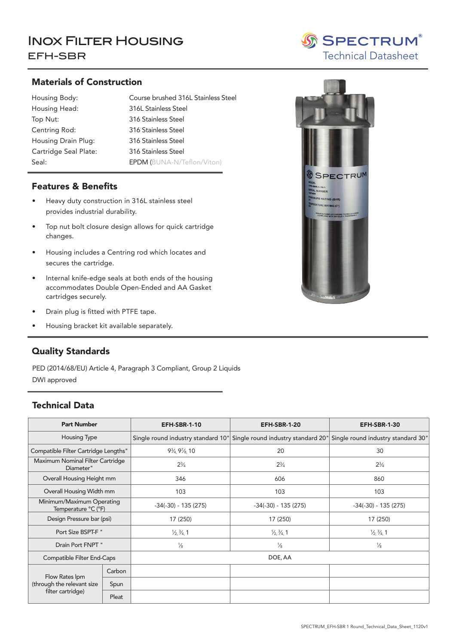# INOX FILTER HOUSING SPECTRUM EFH-SBR

#### Materials of Construction

| Housing Body:         | Course brushed 31     |
|-----------------------|-----------------------|
| Housing Head:         | 316L Stainless Stee   |
| Top Nut:              | 316 Stainless Steel   |
| Centring Rod:         | 316 Stainless Steel   |
| Housing Drain Plug:   | 316 Stainless Steel   |
| Cartridge Seal Plate: | 316 Stainless Steel   |
| Seal:                 | <b>EPDM (BUNA-N/7</b> |

j

Housing Body: Course brushed 316L Stainless Steel Seal: Buna-N (EPDM/Teflon/Viton) EPDM (BUNA-N/Teflon/Viton) 316L Stainless Steel 316 Stainless Steel 316 Stainless Steel

#### Features & Benefits

- Heavy duty construction in 316L stainless steel provides industrial durability.
- Top nut bolt closure design allows for quick cartridge changes.
- Housing includes a Centring rod which locates and secures the cartridge.
- Internal knife-edge seals at both ends of the housing accommodates Double Open-Ended and AA Gasket cartridges securely.
- Drain plug is fitted with PTFE tape.
- Housing bracket kit available separately.

### Quality Standards

PED (2014/68/EU) Article 4, Paragraph 3 Compliant, Group 2 Liquids DWI approved

### Technical Data

| <b>Part Number</b>                                                |        | <b>EFH-SBR-1-10</b>                  | <b>EFH-SBR-1-20</b>                                                                                      |                                   |  |  |
|-------------------------------------------------------------------|--------|--------------------------------------|----------------------------------------------------------------------------------------------------------|-----------------------------------|--|--|
| <b>Housing Type</b>                                               |        |                                      | Single round industry standard 10" Single round industry standard 20" Single round industry standard 30" |                                   |  |  |
| Compatible Filter Cartridge Lengths"                              |        | $9\frac{3}{4}$ , $9\frac{7}{8}$ , 10 | 20                                                                                                       | 30                                |  |  |
| Maximum Nominal Filter Cartridge<br>Diameter"                     |        | $2^{3}/_{4}$                         | $2\frac{3}{4}$                                                                                           | $2\frac{3}{4}$                    |  |  |
| Overall Housing Height mm                                         |        | 346                                  | 606                                                                                                      | 860                               |  |  |
| Overall Housing Width mm                                          |        | 103                                  | 103                                                                                                      | 103                               |  |  |
| Minimum/Maximum Operating<br>Temperature °C (°F)                  |        | $-34(-30) - 135(275)$                | $-34(-30) - 135(275)$                                                                                    | $-34(-30) - 135(275)$             |  |  |
| Design Pressure bar (psi)                                         |        | 17 (250)                             | 17 (250)                                                                                                 | 17 (250)                          |  |  |
| Port Size BSPT-F "                                                |        | $\frac{1}{2}$ , $\frac{3}{4}$ , 1    | $\frac{1}{2}$ , $\frac{3}{4}$ , 1                                                                        | $\frac{1}{2}$ , $\frac{3}{4}$ , 1 |  |  |
| Drain Port FNPT "                                                 |        | $\frac{1}{8}$                        | $\frac{1}{8}$                                                                                            | $\frac{1}{8}$                     |  |  |
| Compatible Filter End-Caps                                        |        | DOE, AA                              |                                                                                                          |                                   |  |  |
| Flow Rates Ipm<br>(through the relevant size<br>filter cartridge) | Carbon |                                      |                                                                                                          |                                   |  |  |
|                                                                   | Spun   |                                      |                                                                                                          |                                   |  |  |
|                                                                   | Pleat  |                                      |                                                                                                          |                                   |  |  |